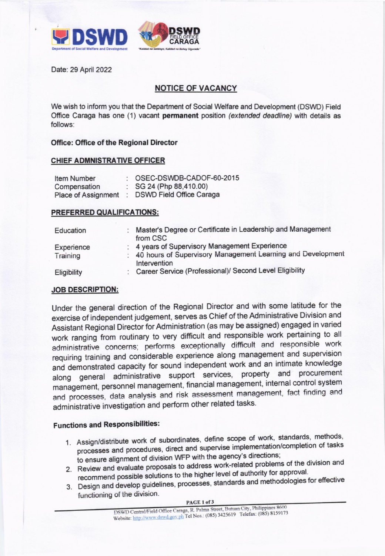

Date: 29 April 2022

## **NOTICE OF VACANCY**

We wish to inform you that the Department of Social Welfare and Development (DSWD) Field Office Caraga has one (1) vacant permanent position (extended deadline) with details as follows:

#### **Office: Office of the Regional Director**

## **CHIEF ADMNISTRATIVE OFFICER**

| Item Number                | OSEC-DSWDB-CADOF-60-2015        |
|----------------------------|---------------------------------|
| Compensation               | $\colon$ SG 24 (Php 88,410.00)  |
| <b>Place of Assignment</b> | <b>DSWD Field Office Caraga</b> |

#### PREFERRED QUALIFICATIONS:

| Education   | Master's Degree or Certificate in Leadership and Management<br>from CSC     |
|-------------|-----------------------------------------------------------------------------|
| Experience  | : 4 years of Supervisory Management Experience                              |
| Training    | 40 hours of Supervisory Management Learning and Development<br>Intervention |
| Eligibility | Career Service (Professional)/ Second Level Eligibility                     |

## **JOB DESCRIPTION:**

Under the general direction of the Regional Director and with some latitude for the exercise of independent judgement, serves as Chief of the Administrative Division and Assistant Regional Director for Administration (as may be assigned) engaged in varied work ranging from routinary to very difficult and responsible work pertaining to all administrative concerns; performs exceptionally difficult and responsible work requiring training and considerable experience along management and supervision and demonstrated capacity for sound independent work and an intimate knowledge along general administrative support services, property and procurement management, personnel management, financial management, internal control system and processes, data analysis and risk assessment management, fact finding and administrative investigation and perform other related tasks.

# **Functions and Responsibilities:**

- 1. Assign/distribute work of subordinates, define scope of work, standards, methods, processes and procedures, direct and supervise implementation/completion of tasks to ensure alignment of division WFP with the agency's directions;
- 2. Review and evaluate proposals to address work-related problems of the division and recommend possible solutions to the higher level of authority for approval.
- 3. Design and develop guidelines, processes, standards and methodologies for effective functioning of the division.

PAGE 1 of 3